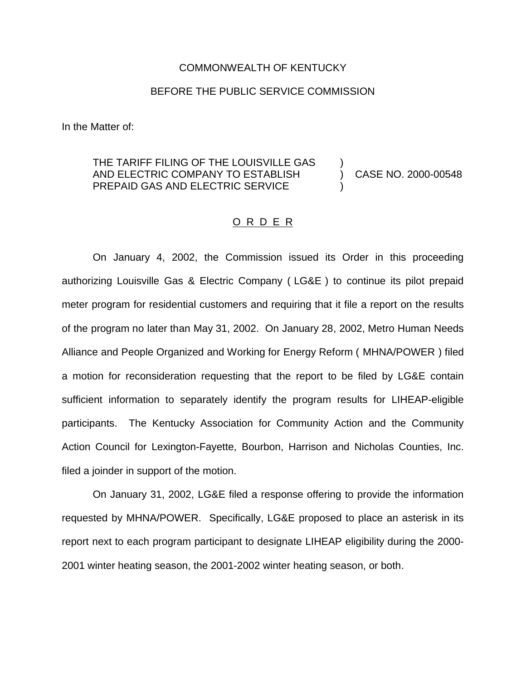## COMMONWEALTH OF KENTUCKY

## BEFORE THE PUBLIC SERVICE COMMISSION

In the Matter of:

## THE TARIFF FILING OF THE LOUISVILLE GAS ) AND ELECTRIC COMPANY TO ESTABLISH (2000-00548) PREPAID GAS AND ELECTRIC SERVICE

## O R D E R

On January 4, 2002, the Commission issued its Order in this proceeding authorizing Louisville Gas & Electric Company ( LG&E ) to continue its pilot prepaid meter program for residential customers and requiring that it file a report on the results of the program no later than May 31, 2002. On January 28, 2002, Metro Human Needs Alliance and People Organized and Working for Energy Reform ( MHNA/POWER ) filed a motion for reconsideration requesting that the report to be filed by LG&E contain sufficient information to separately identify the program results for LIHEAP-eligible participants. The Kentucky Association for Community Action and the Community Action Council for Lexington-Fayette, Bourbon, Harrison and Nicholas Counties, Inc. filed a joinder in support of the motion.

On January 31, 2002, LG&E filed a response offering to provide the information requested by MHNA/POWER. Specifically, LG&E proposed to place an asterisk in its report next to each program participant to designate LIHEAP eligibility during the 2000- 2001 winter heating season, the 2001-2002 winter heating season, or both.